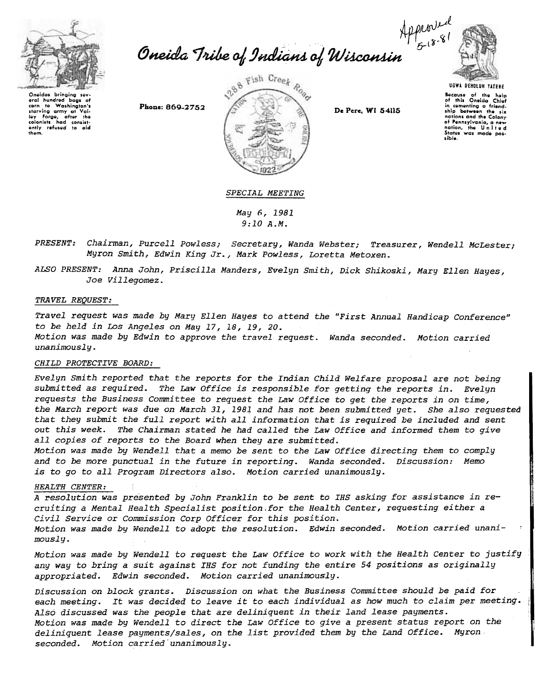

Apported<br>Oneida Tribe of Indians of Wisconsin



Oneidas bringing sev eral hundred Washington's corn to Washington's<br>starving army at Valley Forge, after the<br>colonists had consistently refused to aid<br>them. corn  $t_{\rm O}$ 

Phone: 869-2752



De Pere, WI 54115

**UGWA DENOLUN YATENE** Because of the help<br>of this Oneida Chief in comenting a friend-<br>the comenting a friend-<br>ship between the six ship between the six<br>nations and the Colony<br>of Pennsylvania, a new<br>nation, the United nation, the United sible.

## SPECIAL MEETING

May 6, 1981  $9:10A.M.$ 

- PRESENT: Chairman, Purcell Powless; Secretary, Wanda Webster; Treasurer, Wendell McLester; Myron Smith, Edwin King Jr., Mark Powless, Loretta Metoxen.
- ALSO PRESENT: Anna John, Priscilla Manders, Evelyn Smith, Dick Shikoski, Mary Ellen Hayes, Joe Villegomez.

## TRAVEL REQUEST:

Travel request was made by Mary Ellen Hayes to attend the "First Annual Handicap Conference" to be held in Los Angeles on May 17, 18, 19, 20. Motion was made by Edwin to approve the travel request. Wanda seconded. Motion carried

unanimously.

## CHILD PROTECTIVE BOARD:

Evelyn Smith reported that the reports for the Indian Child Welfare proposal are not being submitted as required. The Law Office is responsible for getting the reports in. Evelyn requests the Business Committee to request the Law Office to get the reports in on time, the March report was due on March 31, 1981 and has not been submitted yet. She also requested that they submit the full report with all information that is required be included and sent out this week. The Chairman stated he had called the Law Office and informed them to give all copies of reports to the Board when they are submitted.

Motion was made by Wendell that a memo be sent to the Law Office directing them to comply and to be more punctual in the future in reporting. Wanda seconded. Discussion: Memo is to go to all Program Directors also. Motion carried unanimously.

## HEALTH CENTER:

A resolution was presented by John Franklin to be sent to IHS asking for assistance in recruiting a Mental Health Specialist position for the Health Center, requesting either a Civil Service or Commission Corp Officer for this position. Motion was made by Wendell to adopt the resolution. Edwin seconded. Motion carried unani $mously.$ 

Motion was made by Wendell to request the Law Office to work with the Health Center to justify any way to bring a suit against IHS for not funding the entire 54 positions as originally appropriated. Edwin seconded. Motion carried unanimously.

Discussion on block grants. Discussion on what the Business Committee should be paid for each meeting. It was decided to leave it to each individual as how much to claim per meeting. Also discussed was the people that are deliniquent in their land lease payments. Motion was made by Wendell to direct the Law Office to give a present status report on the deliniquent lease payments/sales, on the list provided them by the Land Office. Myron seconded. Motion carried unanimously.